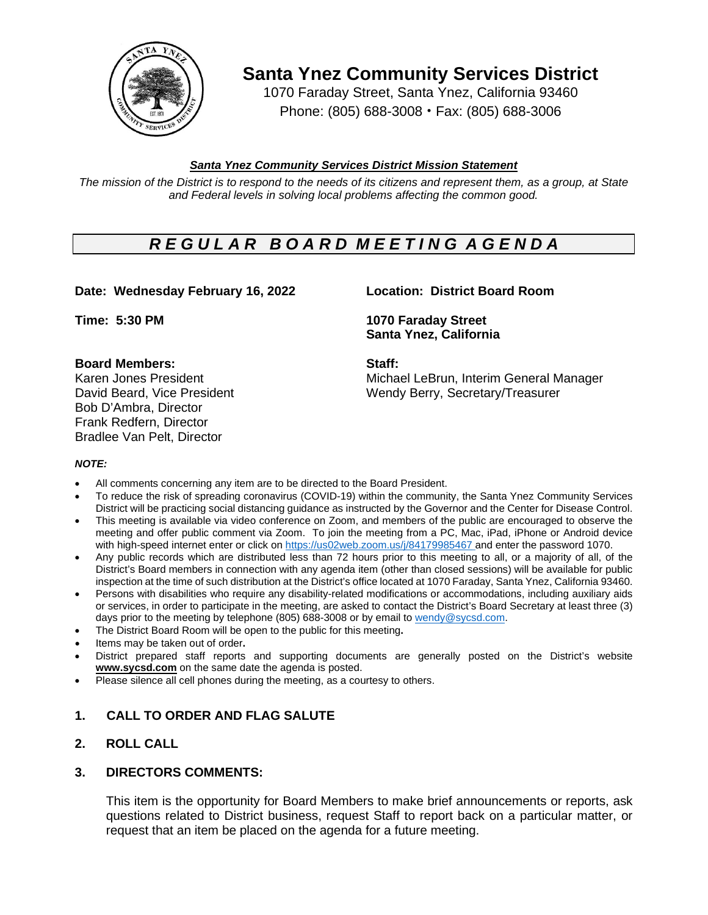

**Santa Ynez Community Services District**

1070 Faraday Street, Santa Ynez, California 93460 Phone: (805) 688-3008 • Fax: (805) 688-3006

## *Santa Ynez Community Services District Mission Statement*

The mission of the District is to respond to the needs of its citizens and represent them, as a group, at State *and Federal levels in solving local problems affecting the common good.*

# *R E G U L A R B O A R D M E E T I N G A G E N D A*

## **Date: Wednesday February 16, 2022 Location: District Board Room**

### **Board Members: Staff:**

Bob D'Ambra, Director Frank Redfern, Director Bradlee Van Pelt, Director

**Time: 5:30 PM 1070 Faraday Street Santa Ynez, California**

Karen Jones President Michael LeBrun, Interim General Manager David Beard, Vice President Wendy Berry, Secretary/Treasurer

#### *NOTE:*

- All comments concerning any item are to be directed to the Board President.
- To reduce the risk of spreading coronavirus (COVID-19) within the community, the Santa Ynez Community Services District will be practicing social distancing guidance as instructed by the Governor and the Center for Disease Control.
- This meeting is available via video conference on Zoom, and members of the public are encouraged to observe the meeting and offer public comment via Zoom. To join the meeting from a PC, Mac, iPad, iPhone or Android device with high-speed internet enter or click on [https://us02web.zoom.us/j/8](https://us02web.zoom.us/j/)4179985467 and enter the password 1070.
- Any public records which are distributed less than 72 hours prior to this meeting to all, or a majority of all, of the District's Board members in connection with any agenda item (other than closed sessions) will be available for public inspection at the time of such distribution at the District's office located at 1070 Faraday, Santa Ynez, California 93460.
- Persons with disabilities who require any disability-related modifications or accommodations, including auxiliary aids or services, in order to participate in the meeting, are asked to contact the District's Board Secretary at least three (3) days prior to the meeting by telephone (805) 688-3008 or by email to [wendy@sycsd.com.](mailto:wendy@sycsd.com)
- The District Board Room will be open to the public for this meeting**.**
- Items may be taken out of order**.**
- District prepared staff reports and supporting documents are generally posted on the District's website **[www.sycsd.com](http://www.sycsd.com/)** on the same date the agenda is posted.
- Please silence all cell phones during the meeting, as a courtesy to others.

## **1. CALL TO ORDER AND FLAG SALUTE**

## **2. ROLL CALL**

### **3. DIRECTORS COMMENTS:**

This item is the opportunity for Board Members to make brief announcements or reports, ask questions related to District business, request Staff to report back on a particular matter, or request that an item be placed on the agenda for a future meeting.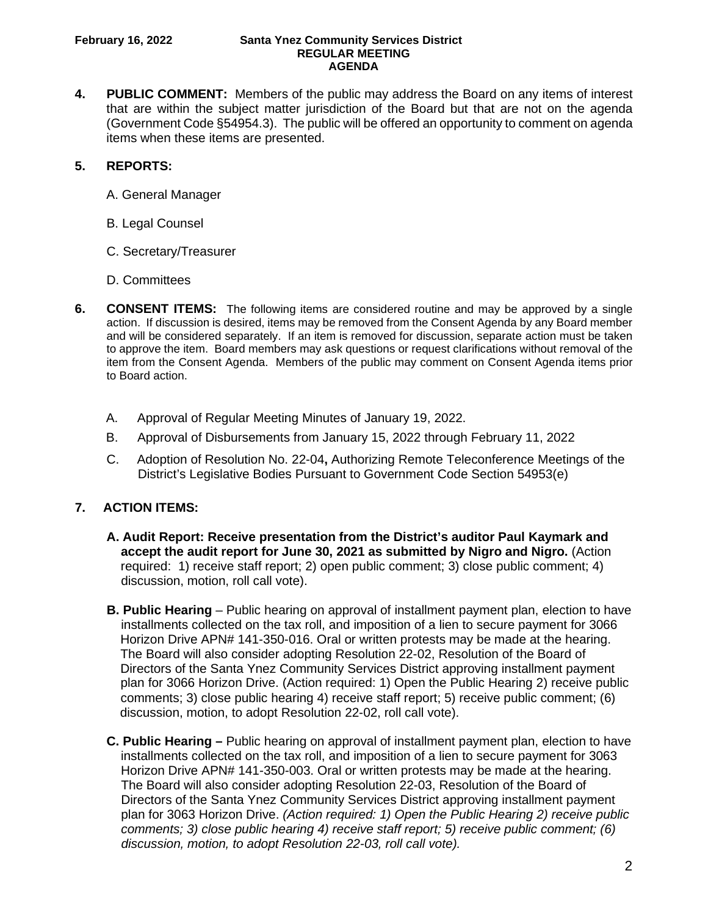#### **February 16, 2022 Santa Ynez Community Services District REGULAR MEETING AGENDA**

**4. PUBLIC COMMENT:** Members of the public may address the Board on any items of interest that are within the subject matter jurisdiction of the Board but that are not on the agenda (Government Code §54954.3). The public will be offered an opportunity to comment on agenda items when these items are presented.

# **5. REPORTS:**

- A. General Manager
- B. Legal Counsel
- C. Secretary/Treasurer
- D. Committees
- **6. CONSENT ITEMS:** The following items are considered routine and may be approved by a single action. If discussion is desired, items may be removed from the Consent Agenda by any Board member and will be considered separately. If an item is removed for discussion, separate action must be taken to approve the item. Board members may ask questions or request clarifications without removal of the item from the Consent Agenda. Members of the public may comment on Consent Agenda items prior to Board action.
	- A. Approval of Regular Meeting Minutes of January 19, 2022.
	- B. Approval of Disbursements from January 15, 2022 through February 11, 2022
	- C. Adoption of Resolution No. 22-04**,** Authorizing Remote Teleconference Meetings of the District's Legislative Bodies Pursuant to Government Code Section 54953(e)

# **7. ACTION ITEMS:**

- **A. Audit Report: Receive presentation from the District's auditor Paul Kaymark and accept the audit report for June 30, 2021 as submitted by Nigro and Nigro.** (Action required: 1) receive staff report; 2) open public comment; 3) close public comment; 4) discussion, motion, roll call vote).
- **B. Public Hearing** Public hearing on approval of installment payment plan, election to have installments collected on the tax roll, and imposition of a lien to secure payment for 3066 Horizon Drive APN# 141-350-016. Oral or written protests may be made at the hearing. The Board will also consider adopting Resolution 22-02, Resolution of the Board of Directors of the Santa Ynez Community Services District approving installment payment plan for 3066 Horizon Drive. (Action required: 1) Open the Public Hearing 2) receive public comments; 3) close public hearing 4) receive staff report; 5) receive public comment; (6) discussion, motion, to adopt Resolution 22-02, roll call vote).
- **C. Public Hearing –** Public hearing on approval of installment payment plan, election to have installments collected on the tax roll, and imposition of a lien to secure payment for 3063 Horizon Drive APN# 141-350-003. Oral or written protests may be made at the hearing. The Board will also consider adopting Resolution 22-03, Resolution of the Board of Directors of the Santa Ynez Community Services District approving installment payment plan for 3063 Horizon Drive. *(Action required: 1) Open the Public Hearing 2) receive public comments; 3) close public hearing 4) receive staff report; 5) receive public comment; (6) discussion, motion, to adopt Resolution 22-03, roll call vote).*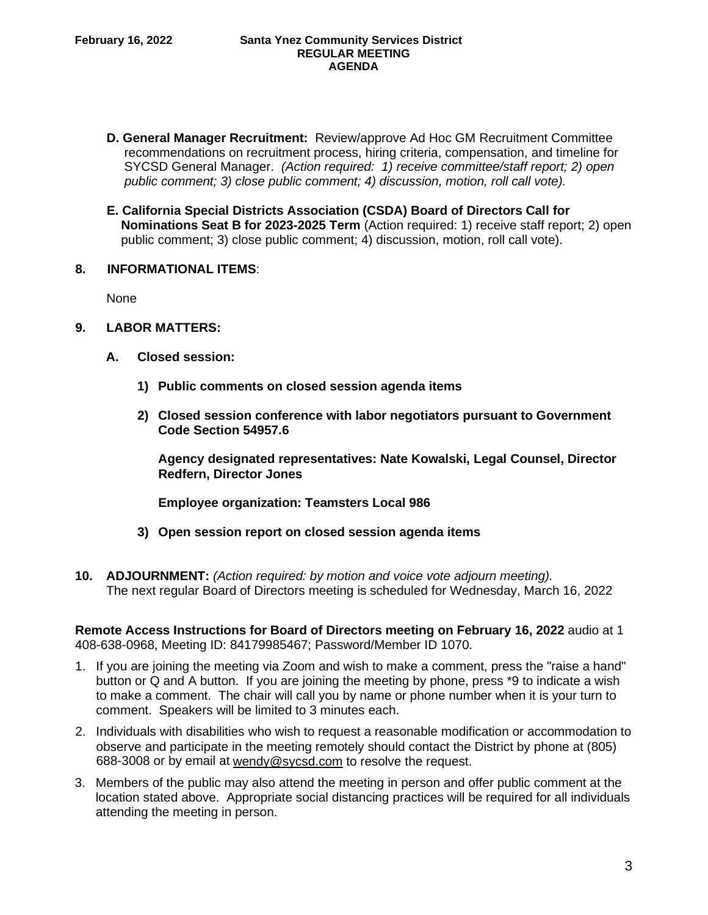- **D. General Manager Recruitment:** Review/approve Ad Hoc GM Recruitment Committee recommendations on recruitment process, hiring criteria, compensation, and timeline for SYCSD General Manager. *(Action required: 1) receive committee/staff report; 2) open public comment; 3) close public comment; 4) discussion, motion, roll call vote).*
- **E. California Special Districts Association (CSDA) Board of Directors Call for Nominations Seat B for 2023-2025 Term** (Action required: 1) receive staff report; 2) open public comment; 3) close public comment; 4) discussion, motion, roll call vote).
- **8. INFORMATIONAL ITEMS**:

None

- **9. LABOR MATTERS:**
	- **A. Closed session:**
		- **1) Public comments on closed session agenda items**
		- **2) Closed session conference with labor negotiators pursuant to Government Code Section 54957.6**

**Agency designated representatives: Nate Kowalski, Legal Counsel, Director Redfern, Director Jones**

**Employee organization: Teamsters Local 986**

- **3) Open session report on closed session agenda items**
- **10. ADJOURNMENT:** *(Action required: by motion and voice vote adjourn meeting).* The next regular Board of Directors meeting is scheduled for Wednesday, March 16, 2022

**Remote Access Instructions for Board of Directors meeting on February 16, 2022** audio at 1 408-638-0968, Meeting ID: 84179985467; Password/Member ID 1070.

- 1. If you are joining the meeting via Zoom and wish to make a comment, press the "raise a hand" button or Q and A button. If you are joining the meeting by phone, press \*9 to indicate a wish to make a comment. The chair will call you by name or phone number when it is your turn to comment. Speakers will be limited to 3 minutes each.
- 2. Individuals with disabilities who wish to request a reasonable modification or accommodation to observe and participate in the meeting remotely should contact the District by phone at (805) 688-3008 or by email at [wendy@sycsd.com](mailto:wendy@sycsd.com) to resolve the request.
- 3. Members of the public may also attend the meeting in person and offer public comment at the location stated above. Appropriate social distancing practices will be required for all individuals attending the meeting in person.